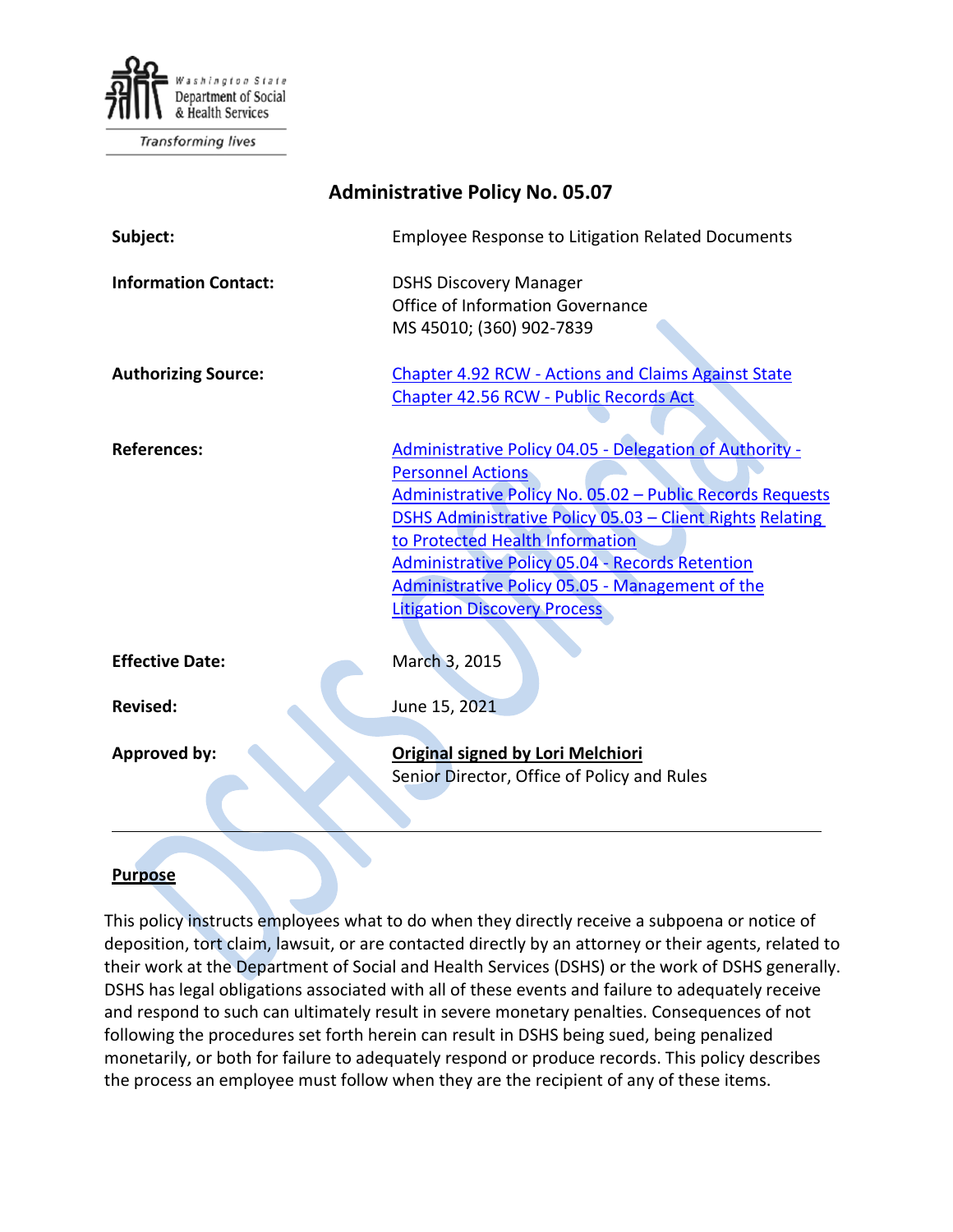

Transforming lives

| <b>Administrative Policy No. 05.07</b> |                                                                                                                                                                                                                                                                                                                                                                                                             |
|----------------------------------------|-------------------------------------------------------------------------------------------------------------------------------------------------------------------------------------------------------------------------------------------------------------------------------------------------------------------------------------------------------------------------------------------------------------|
| Subject:                               | <b>Employee Response to Litigation Related Documents</b>                                                                                                                                                                                                                                                                                                                                                    |
| <b>Information Contact:</b>            | <b>DSHS Discovery Manager</b><br>Office of Information Governance<br>MS 45010; (360) 902-7839                                                                                                                                                                                                                                                                                                               |
| <b>Authorizing Source:</b>             | <b>Chapter 4.92 RCW - Actions and Claims Against State</b><br>Chapter 42.56 RCW - Public Records Act                                                                                                                                                                                                                                                                                                        |
| <b>References:</b>                     | <b>Administrative Policy 04.05 - Delegation of Authority -</b><br><b>Personnel Actions</b><br>Administrative Policy No. 05.02 - Public Records Requests<br>DSHS Administrative Policy 05.03 - Client Rights Relating<br>to Protected Health Information<br><b>Administrative Policy 05.04 - Records Retention</b><br>Administrative Policy 05.05 - Management of the<br><b>Litigation Discovery Process</b> |
| <b>Effective Date:</b>                 | March 3, 2015                                                                                                                                                                                                                                                                                                                                                                                               |
| <b>Revised:</b>                        | June 15, 2021                                                                                                                                                                                                                                                                                                                                                                                               |
| Approved by:                           | Original signed by Lori Melchiori<br>Senior Director, Office of Policy and Rules                                                                                                                                                                                                                                                                                                                            |

### **Purpose**

This policy instructs employees what to do when they directly receive a subpoena or notice of deposition, tort claim, lawsuit, or are contacted directly by an attorney or their agents, related to their work at the Department of Social and Health Services (DSHS) or the work of DSHS generally. DSHS has legal obligations associated with all of these events and failure to adequately receive and respond to such can ultimately result in severe monetary penalties. Consequences of not following the procedures set forth herein can result in DSHS being sued, being penalized monetarily, or both for failure to adequately respond or produce records. This policy describes the process an employee must follow when they are the recipient of any of these items.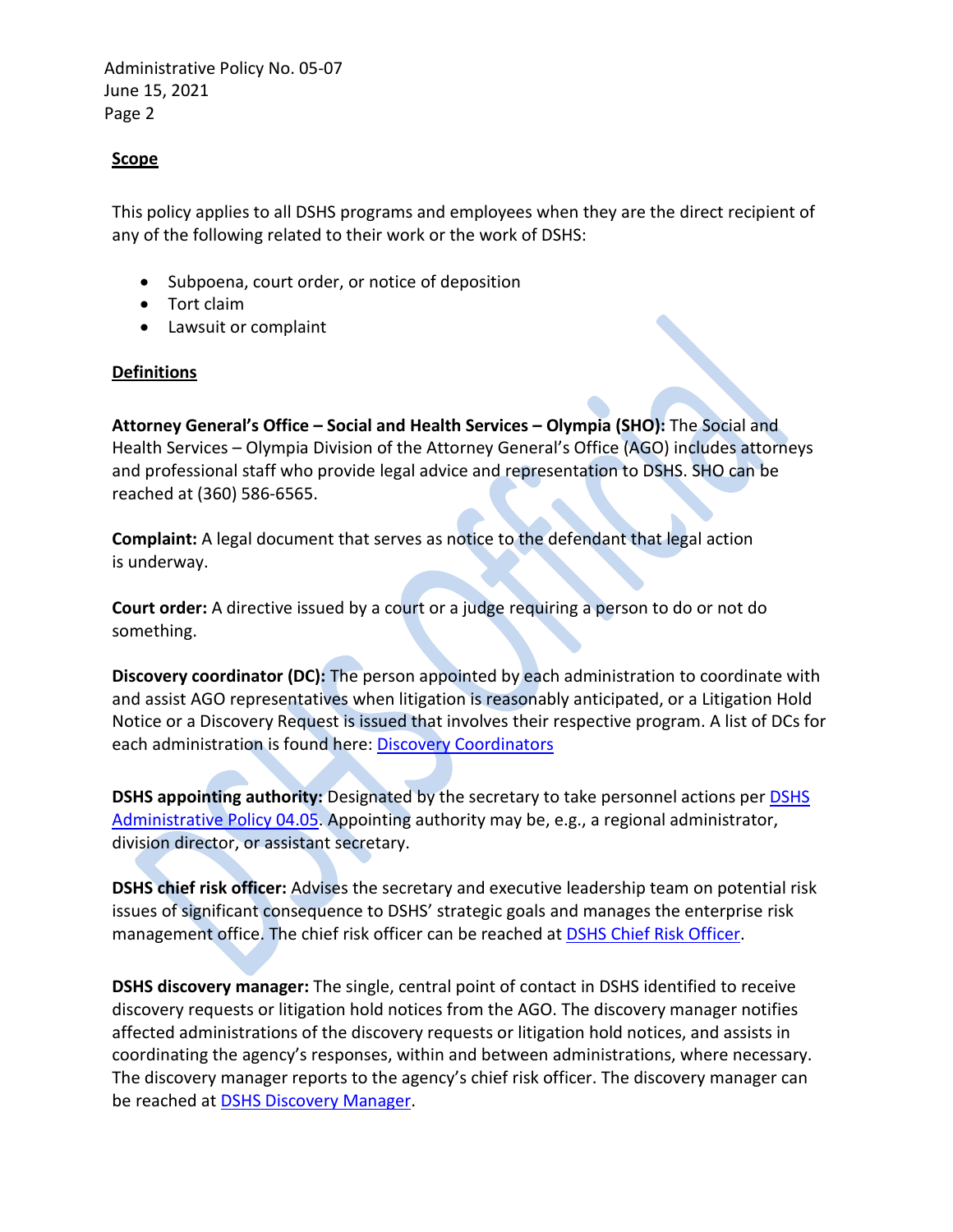### **Scope**

This policy applies to all DSHS programs and employees when they are the direct recipient of any of the following related to their work or the work of DSHS:

- Subpoena, court order, or notice of deposition
- Tort claim
- Lawsuit or complaint

### **Definitions**

**Attorney General's Office – Social and Health Services – Olympia (SHO):** The Social and Health Services – Olympia Division of the Attorney General's Office (AGO) includes attorneys and professional staff who provide legal advice and representation to DSHS. SHO can be reached at (360) 586-6565.

**Complaint:** A legal document that serves as notice to the defendant that legal action is underway.

**Court order:** A directive issued by a court or a judge requiring a person to do or not do something.

**Discovery coordinator (DC):** The person appointed by each administration to coordinate with and assist AGO representatives when litigation is reasonably anticipated, or a Litigation Hold Notice or a Discovery Request is issued that involves their respective program. A list of DCs for each administration is found here: [Discovery Coordinators](http://one.dshs.wa.lcl/FS/Records/Discovery/Pages/Coordinators.aspx)

**DSHS appointing authority:** Designated by the secretary to take personnel actions per [DSHS](http://one.dshs.wa.lcl/Policies/Administrative/DSHS-AP-04-05.pdf) [Administrative Policy 04.05.](http://one.dshs.wa.lcl/Policies/Administrative/DSHS-AP-04-05.pdf) Appointing authority may be, e.g., a regional administrator, division director, or assistant secretary.

**DSHS chief risk officer:** Advises the secretary and executive leadership team on potential risk issues of significant consequence to DSHS' strategic goals and manages the enterprise risk management office. The chief risk officer can be reached at **DSHS Chief Risk Officer**.

**DSHS discovery manager:** The single, central point of contact in DSHS identified to receive discovery requests or litigation hold notices from the AGO. The discovery manager notifies affected administrations of the discovery requests or litigation hold notices, and assists in coordinating the agency's responses, within and between administrations, where necessary. The discovery manager reports to the agency's chief risk officer. The discovery manager can be reached a[t DSHS Discovery Manager.](mailto:DSHSdiscoverymanager@dshs.wa.gov)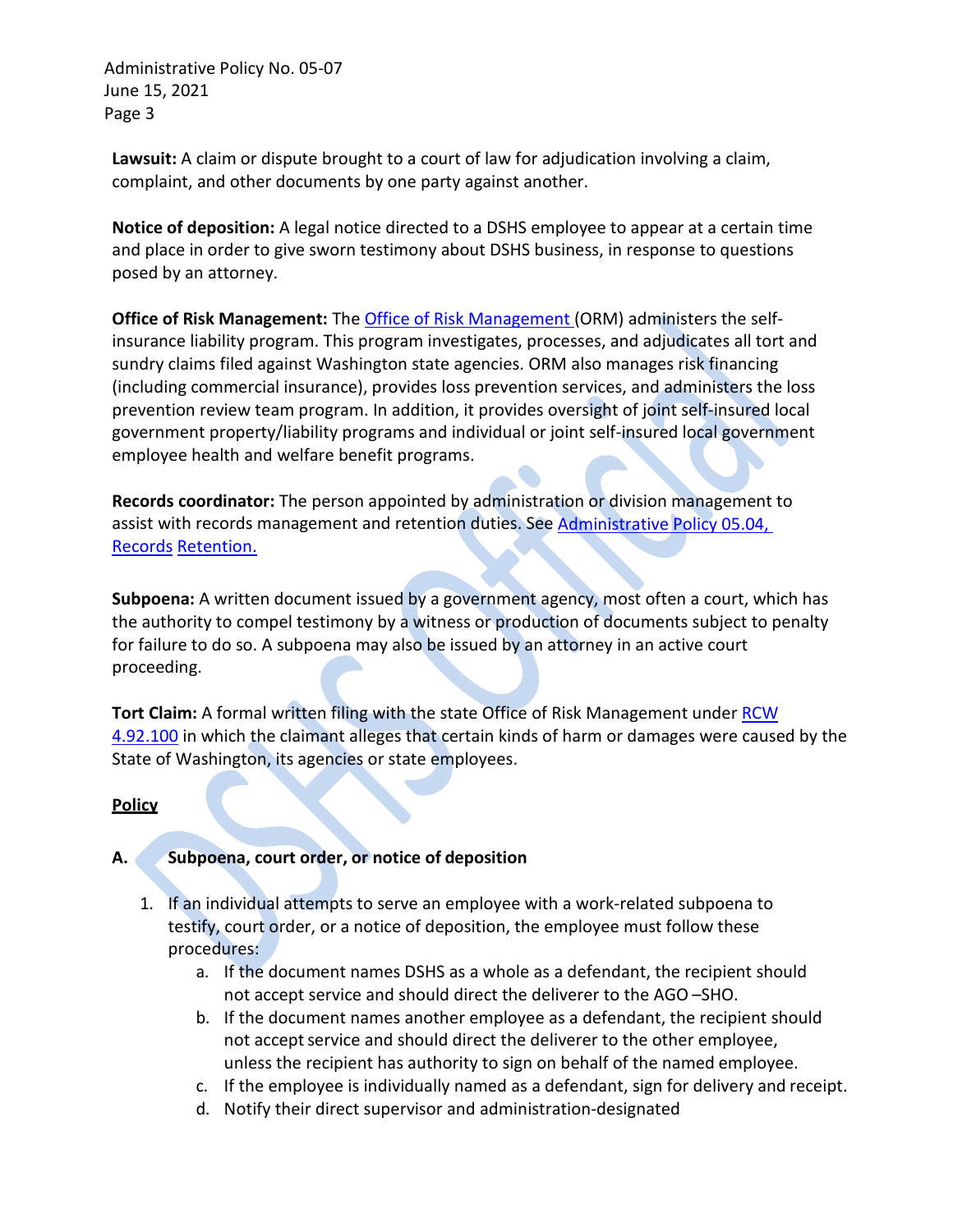**Lawsuit:** A claim or dispute brought to a court of law for adjudication involving a claim, complaint, and other documents by one party against another.

**Notice of deposition:** A legal notice directed to a DSHS employee to appear at a certain time and place in order to give sworn testimony about DSHS business, in response to questions posed by an attorney.

**Office of Risk Management:** The [Office of Risk Management \(](http://www.des.wa.gov/services/Risk/Pages/default.aspx)ORM) administers the selfinsurance liability program. This program investigates, processes, and adjudicates all tort and sundry claims filed against Washington state agencies. ORM also manages risk financing (including commercial insurance), provides loss prevention services, and administers the loss prevention review team program. In addition, it provides oversight of joint self-insured local government property/liability programs and individual or joint self-insured local government employee health and welfare benefit programs.

**Records coordinator:** The person appointed by administration or division management to assist with records management and retention duties. See Administrative Policy 05.04, [Records](http://one.dshs.wa.lcl/Policies/Administrative/DSHS-AP-05-04.pdf) [Retention.](http://one.dshs.wa.lcl/Policies/Administrative/DSHS-AP-05-04.pdf)

**Subpoena:** A written document issued by a government agency, most often a court, which has the authority to compel testimony by a witness or production of documents subject to penalty for failure to do so. A subpoena may also be issued by an attorney in an active court proceeding.

**Tort Claim:** A formal written filing with the state Office of Risk Management under [RCW](http://apps.leg.wa.gov/RCW/default.aspx?cite=4.92.100) [4.92.100](http://apps.leg.wa.gov/RCW/default.aspx?cite=4.92.100) in which the claimant alleges that certain kinds of harm or damages were caused by the State of Washington, its agencies or state employees.

# **Policy**

# **A. Subpoena, court order, or notice of deposition**

- 1. If an individual attempts to serve an employee with a work-related subpoena to testify, court order, or a notice of deposition, the employee must follow these procedures:
	- a. If the document names DSHS as a whole as a defendant, the recipient should not accept service and should direct the deliverer to the AGO –SHO.
	- b. If the document names another employee as a defendant, the recipient should not accept service and should direct the deliverer to the other employee, unless the recipient has authority to sign on behalf of the named employee.
	- c. If the employee is individually named as a defendant, sign for delivery and receipt.
	- d. Notify their direct supervisor and administration-designated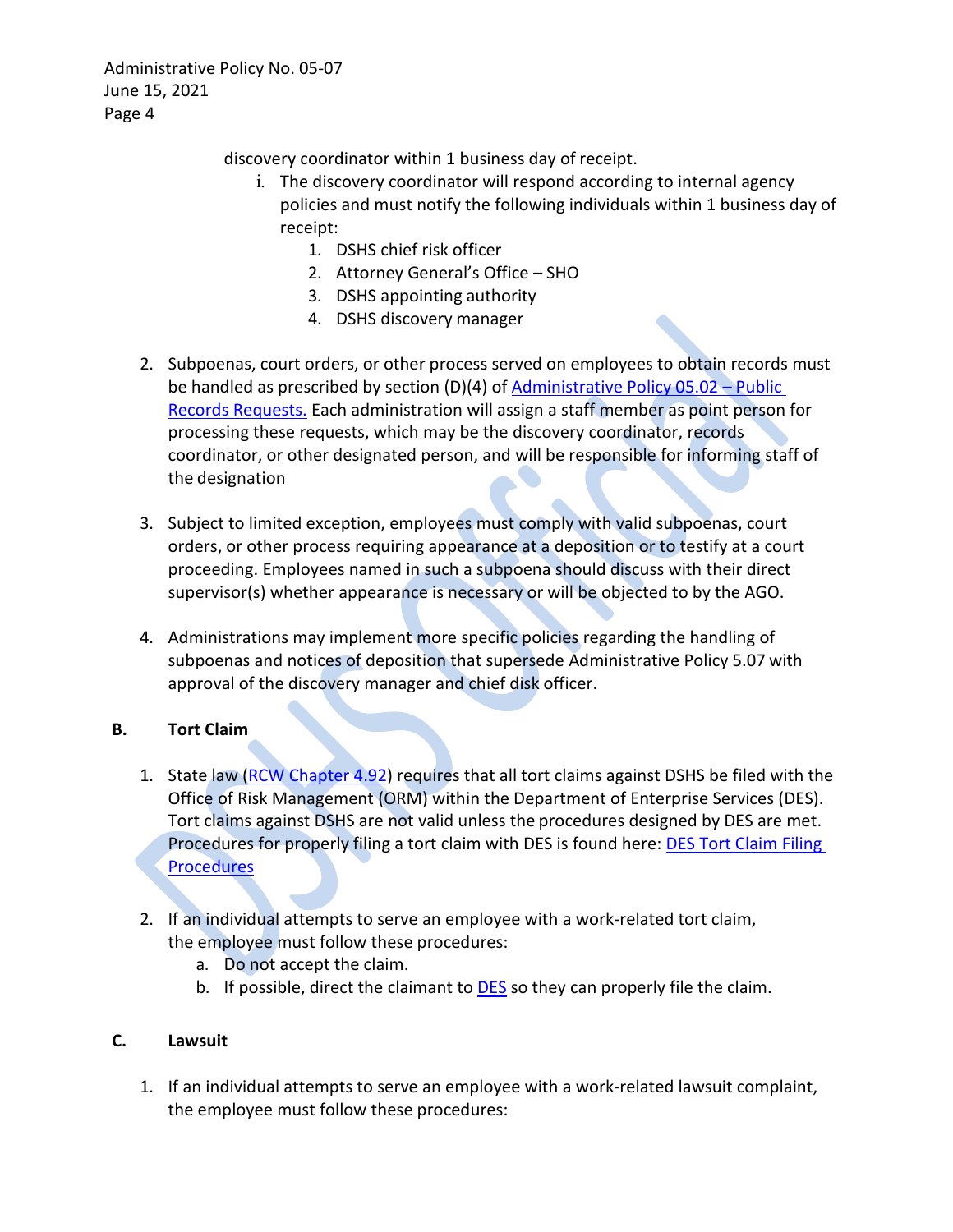discovery coordinator within 1 business day of receipt.

- i. The discovery coordinator will respond according to internal agency policies and must notify the following individuals within 1 business day of receipt:
	- 1. DSHS chief risk officer
	- 2. Attorney General's Office SHO
	- 3. DSHS appointing authority
	- 4. DSHS discovery manager
- 2. Subpoenas, court orders, or other process served on employees to obtain records must be handled as prescribed by section (D)(4) of [Administrative Policy 05.02 –](http://one.dshs.wa.lcl/Policies/Administrative/DSHS-AP-05-02.pdf) Public [Records](http://one.dshs.wa.lcl/Policies/Administrative/DSHS-AP-05-02.pdf) [Requests.](http://one.dshs.wa.lcl/Policies/Administrative/DSHS-AP-05-02.pdf) Each administration will assign a staff member as point person for processing these requests, which may be the discovery coordinator, records coordinator, or other designated person, and will be responsible for informing staff of the designation
- 3. Subject to limited exception, employees must comply with valid subpoenas, court orders, or other process requiring appearance at a deposition or to testify at a court proceeding. Employees named in such a subpoena should discuss with their direct supervisor(s) whether appearance is necessary or will be objected to by the AGO.
- 4. Administrations may implement more specific policies regarding the handling of subpoenas and notices of deposition that supersede Administrative Policy 5.07 with approval of the discovery manager and chief disk officer.

# **B. Tort Claim**

- 1. State law [\(RCW Chapter 4.92\)](http://apps.leg.wa.gov/RCW/default.aspx?cite=4.92) requires that all tort claims against DSHS be filed with the Office of Risk Management (ORM) within the Department of Enterprise Services (DES). Tort claims against DSHS are not valid unless the procedures designed by DES are met. Procedures for properly filing a tort claim with DES is found here: [DES Tort Claim Filing](http://des.wa.gov/services/Risk/claims/Pages/standardTortClaims.aspx) **[Procedures](http://des.wa.gov/services/Risk/claims/Pages/standardTortClaims.aspx)**
- 2. If an individual attempts to serve an employee with a work-related tort claim, the employee must follow these procedures:
	- a. Do not accept the claim.
	- b. If possible, direct the claimant to **[DES](http://des.wa.gov/services/Risk/claims/Pages/standardTortClaims.aspx)** so they can properly file the claim.

### **C. Lawsuit**

1. If an individual attempts to serve an employee with a work-related lawsuit complaint, the employee must follow these procedures: